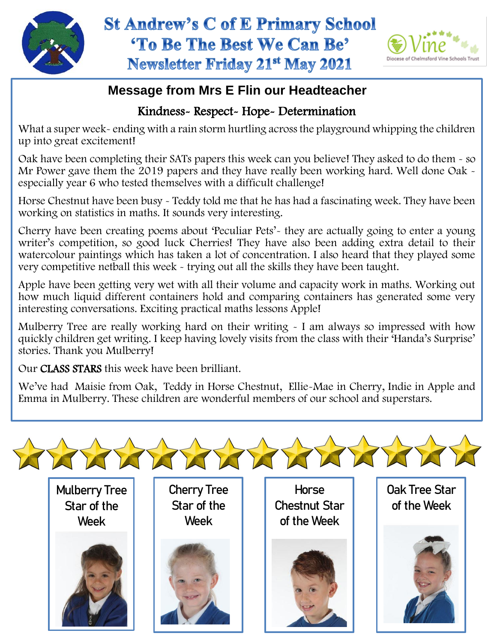



## **Message from Mrs E Flin our Headteacher**

## Kindness- Respect- Hope- Determination

What a super week- ending with a rain storm hurtling across the playground whipping the children up into great excitement!

Oak have been completing their SATs papers this week can you believe! They asked to do them - so Mr Power gave them the 2019 papers and they have really been working hard. Well done Oak especially year 6 who tested themselves with a difficult challenge!

Horse Chestnut have been busy - Teddy told me that he has had a fascinating week. They have been working on statistics in maths. It sounds very interesting.

Cherry have been creating poems about 'Peculiar Pets'- they are actually going to enter a young writer's competition, so good luck Cherries! They have also been adding extra detail to their watercolour paintings which has taken a lot of concentration. I also heard that they played some very competitive netball this week - trying out all the skills they have been taught.

 how much liquid different containers hold and comparing containers has generated some very Apple have been getting very wet with all their volume and capacity work in maths. Working out interesting conversations. Exciting practical maths lessons Apple!

Mulberry Tree are really working hard on their writing - I am always so impressed with how quickly children get writing. I keep having lovely visits from the class with their 'Handa's Surprise' stories. Thank you Mulberry!

Our CLASS STARS this week have been brilliant.

We've had Maisie from Oak, Teddy in Horse Chestnut, Ellie-Mae in Cherry, Indie in Apple and Emma in Mulberry. These children are wonderful members of our school and superstars.

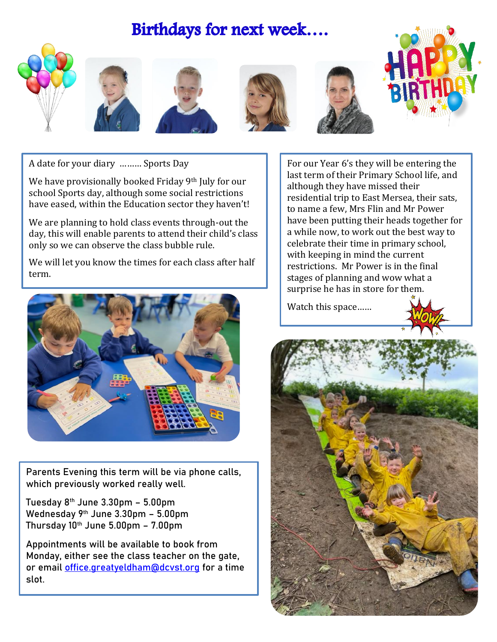# Birthdays for next week....













A date for your diary ……… Sports Day

We have provisionally booked Friday 9<sup>th</sup> July for our school Sports day, although some social restrictions have eased, within the Education sector they haven't!

We are planning to hold class events through-out the day, this will enable parents to attend their child's class only so we can observe the class bubble rule.

We will let you know the times for each class after half term.



Parents Evening this term will be via phone calls, which previously worked really well.

Tuesday 8th June 3.30pm – 5.00pm Wednesday 9th June 3.30pm - 5.00pm Thursday  $10<sup>th</sup>$  June 5.00pm - 7.00pm

Appointments will be available to book from Monday, either see the class teacher on the gate, or email [office.greatyeldham@dcvst.org](mailto:office.greatyeldham@dcvst.org) for a time slot.

For our Year 6's they will be entering the last term of their Primary School life, and although they have missed their residential trip to East Mersea, their sats, to name a few, Mrs Flin and Mr Power have been putting their heads together for a while now, to work out the best way to celebrate their time in primary school, with keeping in mind the current restrictions. Mr Power is in the final stages of planning and wow what a surprise he has in store for them.

Watch this space……